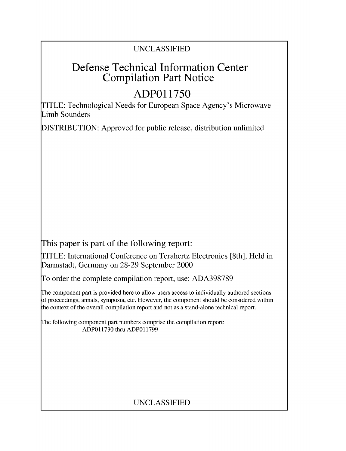## UNCLASSIFIED

## Defense Technical Information Center Compilation Part Notice

# **ADPO1 1750**

TITLE: Technological Needs for European Space Agency's Microwave Limb Sounders

DISTRIBUTION: Approved for public release, distribution unlimited

This paper is part of the following report:

TITLE: International Conference on Terahertz Electronics [8th], Held in Darmstadt, Germany on 28-29 September 2000

To order the complete compilation report, use: ADA398789

The component part is provided here to allow users access to individually authored sections f proceedings, annals, symposia, etc. However, the component should be considered within [he context of the overall compilation report and not as a stand-alone technical report.

The following component part numbers comprise the compilation report: ADPO11730 thru ADP011799

## UNCLASSIFIED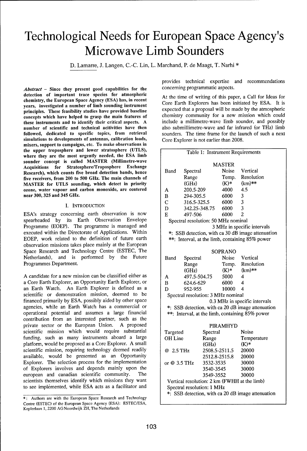# Technological Needs for European Space Agency's Microwave Limb Sounders

D. Lamarre, J. Langen, C.-C. Lin, L. Marchand, P. de Maagt, T. Narhi \*

*Abstract* - Since they present good capabilities for the concerning programmatic aspects. detection of important trace species for atmospheric At the time of writing of this paper, a Call for Ideas for chemistry, the European Space Agency (ESA) has, in recent enemistry, the European space Agency (ESA) has, in recent<br>years, investigated a number of limb sounding instrument<br>principles. These feasibility studies have provided baseline expected that a proposal will be made by the a principles. These feasibility studies have provided baseline expected that a proposal will be made by the atmospheric<br>concents which have helped to grasp the main features of chemistry community for a new mission which cou concepts which have helped to grasp the main features of chemistry community for a new mission which could<br>these instruments and to identify their critical aspects. A conclude a millimetre-wave limb sounder, and possibly these instruments and to identify their critical aspects. A include a millimetre-wave limb sounder, and possibly<br>number of scientific and technical acitivities have then also submillimetre-wave and far infrared (or THz) li number of scientific and technical acitivities have then followed, dedicated to specific topics, from retrieval sounders. The time frame for the launch of such a next simulations to developments of antennas, calibration loads, Core Explorer is not earlier than 2008. mixers, support to campaigns, etc. To make observations in the upper troposphere and lower stratosphere (UTLS), where they are the most urgently needed, the ESA limb sounder concept is called MASTER (Millimetre-wave Acquisitions for Stratosphere/Troposphere Exchange Research), which counts five broad detection bands, hence five receivers, from 200 to 500 GHz. The main channels of MASTER for UTLS sounding, which detect in priority ozone, water vapour and carbon monoxide, are centered near 300, 325 and 345 GHz.

### I. INTRODUCTION

ESA's strategy concerning earth observation is now spearheaded by its Earth Observation Envelope Programme (EOEP). The programme is managed and executed within the Directorate of Applications. Within EOEP, work related to the definition of future earth observation missions takes place mainly at the European Space Research and Technology Centre (ESTEC, The Netherlands), and is performed by the Future Programmes Department.

A candidate for a new mission can be classified either as a Core Earth Explorer, an Opportunity Earth Explorer, or an Earth Watch. An Earth Explorer is defined as a scientific or demonstration mission, deemed to be financed primarily by ESA, possibly aided by other space agencies, while an Earth Watch has a commercial or operational potential and assumes a large financial contribution from an interested partner, such as the private sector or the European Union. A proposed scientific mission which would require substantial funding, such as many instruments aboard a large platform, would be proposed as a Core Explorer. A small scientific mission, requiring technology deemed readily available, would be presented as an Opportunity Explorer. The selection process for the implementation of Explorers involves and depends mainly upon the european and canadian scientific community. The scientists themselves identify which missions they want to see implemented, while ESA acts as a facilitator and

provides technical expertise and recommendations

| Table 1: Instrument Requirements                  |              |               |         |                          |
|---------------------------------------------------|--------------|---------------|---------|--------------------------|
| MASTER                                            |              |               |         |                          |
| Band                                              | Spectral     |               | Noise   | Vertical                 |
|                                                   | Range        |               | Temp.   | Resolution               |
|                                                   | (GHz)        |               | $(K)*$  | $(km)$ **                |
| A                                                 | 200.5-209    |               | 4000    | 4.5                      |
| B                                                 | 294-305.5    |               | 6000    | 3                        |
| $\overline{C}$                                    |              | 316.5-325.5   |         | $\overline{3}$           |
| D                                                 |              | 342.25-348.75 |         | 3                        |
| E                                                 | 497-506      |               | 6000    | $\overline{c}$           |
| Spectral resolution: 50 MHz nominal               |              |               |         |                          |
| 3 MHz in specific intervals                       |              |               |         |                          |
| *: SSB detection, with ca 30 dB image attenuation |              |               |         |                          |
| **: Interval, at the limb, containing 85% power   |              |               |         |                          |
| <b>SOPRANO</b>                                    |              |               |         |                          |
| <b>Band</b><br>Spectral                           |              |               | Noise   | Vertical                 |
|                                                   | Range        |               |         | Temp. Resolution         |
|                                                   | (GHz)        |               | $(K)$ * | $(km)$ **                |
|                                                   | 497.5-504.75 |               | 5000    | $\overline{\mathcal{A}}$ |
| A                                                 |              |               |         | 4                        |
| $\bf{B}$                                          |              | 624.6-629     |         | 4                        |
| 952-955<br>D                                      |              |               | 10000   |                          |
| Spectral resolution: 3 MHz nominal                |              |               |         |                          |
| 0.3 MHz in specific intervals                     |              |               |         |                          |
| *: SSB detection, with ca 20 dB image attenuation |              |               |         |                          |
| **: Interval, at the limb, containing 85% power   |              |               |         |                          |
| <b>PIRAMHYD</b>                                   |              |               |         |                          |
| Targeted                                          |              | Spectral      |         | Noise                    |
| OH Line                                           |              | Range         |         | Temperature              |
|                                                   |              | (GHz)         |         | $(K)*$                   |
| @ 2.5 THz                                         |              | 2508.5-2511.5 |         | 20000                    |
|                                                   |              | 2512.8-2515.8 |         | 20000                    |
| or @ 3.5 THz                                      |              | 3532-3535     |         | 30000                    |
|                                                   |              | 3540-3545     |         | 30000                    |
|                                                   |              | 3549-3552     |         | 30000                    |
| Vertical resolution: 2 km (FWHH at the limb)      |              |               |         |                          |
| Spectral resolution: 1 MHz                        |              |               |         |                          |
| *: SSB detection, with ca 20 dB image attenuation |              |               |         |                          |
|                                                   |              |               |         |                          |

**<sup>\*:</sup>** Authors are with the European Space Research and Technology Centre (ESTEC) of the European Space Agency (ESA): ESTEC/ESA, Keplerlaan 1, 2200 AG Noordwijk ZH, The Netherlands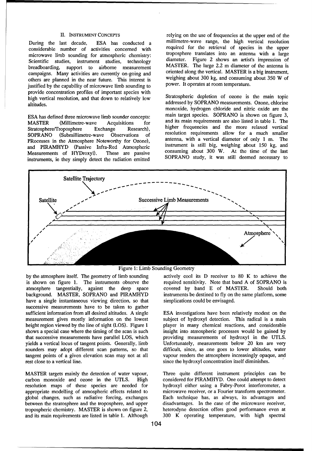considerable number of activities concerned with required for the retrieval of species in the upper<br>microwave limb sounding for atmospheric chemistry: troposphere translates into an antenna with a large microwave limb sounding for atmospheric chemistry: Scientific studies, instrument studies, technology diameter. Figure 2 shows an artist's impression of breadboarding, support to airborne measurement<br>campaigns Many activities are currently on-going and oriented along the vertical. MASTER is a big instrument, campaigns. Many activities are currently on-going and oriented along the vertical. MASTER is a big instrument,<br>others are planned in the near future. This interest is weighing about 300 kg, and consuming about 350 W of others are planned in the near future. This interest is weighing about 300 kg, and consuming institution of microwave limb sounding to power. It operates at room temperature. justified by the capability of microwave limb sounding to provide concentration profiles of important species with high vertical resolution, and that down to relatively low Stratospheric depletion of ozone is the main topic altitudes.<br>
addressed by SOPRANO measurements. Ozone, chlorine

MASTER (Millimetre-wave Acquisitions for and its main requirements are also listed in table 1. The Stratosphere/Troposphere Exchange Research), higher frequencies and the more relaxed vertical SOPRANO (Submillimetre-wave Observations of resolution requirements allow for a much smaller<br>PRocesses in the Atmosphere Noteworthy for Ozone) antenna, with a vertical diameter of only 1 m. The PRocesses in the Atmosphere Noteworthy for Ozone), antenna, with a vertical diameter of only 1 m. The and PIRAMHYD (Passive Infra-Red Atmospheric instrument is still big, weighing about 150 kg, and and PIRAMHYD (Passive Infra-Red Atmospheric Measurements of HYDroxyl). These are passive instruments, ie they simply detect the radiation emitted

II. INSTRUMENT CONCEPTS relying on the use of frequencies at the upper end of the During the last decade, ESA has conducted a millimetre-wave range, the high vertical resolution considerable number of activities concerned with required for the retrieval of species in the upper

monoxide, hydrogen chloride and nitric oxide are the ESA has defined three microwave limb sounder concepts: main target species. SOPRANO is shown on figure 3, These are passive consuming about 300 W. At the time of the last<br>he radiation emitted SOPRANO study, it was still deemed necessary to



Figure 1: Limb Sounding Geometry

atmosphere tangentially, against the deep space is shown on figure 1. The instruments observe the required sensitivity. Note that band A of SOPRANO is atmosphere tangentially, against the deep space covered by band E of MA background. MASTER, SOPRANO and PIRAMHYD instruments be destined to fly on the same platform, some have a single instantaneous viewing direction, so that simplications could be envisaged. successive measurements have to be taken to gather sufficient information from all desired altitudes. A single ESA investigations have been relatively modest on the measurement gives mostly information on the lowest subject of hydroxyl detection. This radical is a main height region viewed by the line of sight (LOS). Figure 1 player in many chemical reactions, and considerable shows a special case where the timing of the scan is such insight into atmospheric processes would be gained by that successive measurements have parallel LOS, which providing measurements of hydroxyl in the UTLS. yields a vertical locus of tangent points. Generally, limb Unfortunately, measurements below 20 km are very sounders may adopt different scan patterns, so that difficult, since, as one goes to lower altitudes, water tangent points of a given elevation scan may not at all vapour renders the atmosphere increasingly opaque, and rest close to a vertical line. Since the hydroxyl concentration itself diminishes.

MASTER targets mainly the detection of water vapour, Three quite different instrument principles can be carbon monoxide and ozone in the UTLS. High considered for PIRAMHYD. One could attempt to detect resolution maps of these species are needed for hydroxyl either using a Fabry-Perot interferometer, a appropriate modelling of atmospheric effects related to microwave receiver, or a Fourier transform spectrometer. global changes, such as radiative forcing, exchanges Each technique has, as always, its advantages and between the stratosphere and the troposphere, and upper disadvantages. In the case of the microwave receiver, tropospheric chemistry. MASTER is shown on figure 2, heterodyne detection offers good performance even at

by the atmosphere itself. The geometry of limb sounding actively cool its D receiver to 80 K to achieve the required sensitivity. Note that band A of SOPRANO is

and its main requirements are listed in table 1. Although 300 K operating temperature, with high spectral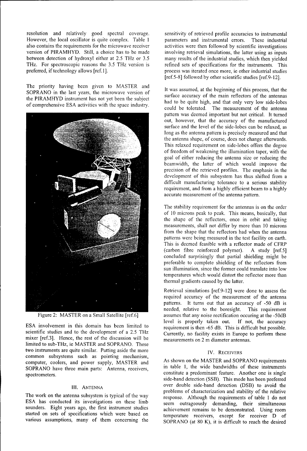resolution and relatively good spectral coverage. Sensitivity of retrieved profile accuracies to instrumental<br>However, the local oscillator is quite complex. Table 1 parameters and instrumental errors. These industrial also contains the requirements for the microwave receiver activities were then followed by scientific investigations version of PIRAMHYD. Still, a choice has to be made involving retrieval simulations, the latter using as inputs between detection of hydroxyl either at 2.5 THz or 3.5 many results of the industrial studies, which then yielded THz. For spectroscopic reasons the 3.5 THz version is refined sets of specifications for the instruments. This preferred, if technology allows [ref.1]. process was iterated once more, ie other industrial studies

The priority having been given to MASTER and<br>SOPRANO in the last years, the microwave version of lt was assumed, at the beginning of this process, that the<br>ALLIVE intermediate actual have the subject of the surface accurac the PIRAMHYD instrument has not yet been the subject<br>had to be quite high, and that only very low side-lobes



scientific studies and to the development of a 2.5 THz Currently, no facility exists in Europe to perform these mixer [ref.3]. Hence, the rest of the discussion will be measurements on 2 m diameter antennas. limited to sub-THz, ie MASTER and SOPRANO. These two instruments are quite similar. Putting aside the more IV. RECEIVERS common subsystems such as pointing mechanism, computer, coolers, and power supply, MASTER and As shown on the MASTER and SOPRANO requirements SOPRANO have three main parts: Antenna, receivers, in table 1, the wide bandwidths of these instruments spectrometers. Extra the main parts through the constitute a predominant feature. Another one is single

ESA has conducted its investigations on these limb seem outrageously demanding, their simultaneous sounders. Eight years ago, the first instrument studies achievement remains to be demonstrated. Using room started on sets of specifications which were based on temperature receivers, except for receiver D of

parameters and instrumental errors. These industrial [ref.5-8] followed by other scientific studies [ref.9-12].

of comprehensive ESA activities with the space industry.<br>could be tolerated. The measurement of the antenna pattern was deemed important but not critical. It turned out, however, that the accuracy of the manufactured surface and the level of the side-lobes can be relaxed, as long as the antenna pattern is precisely measured and that the antenna shape, of course, does not change afterwards. This relaxed requirement on side-lobes offers the degree of freedom of weakening the illumination taper, with the goal of either reducing the antenna size or reducing the beamwidth, the latter of which would improve the precision of the retrieved profiles. The emphasis in the development of this subsystem has thus shifted from a difficult manufacturing tolerance to a serious stability requirement, and from a highly efficient beam to a highly accurate measurement of the antenna pattern.

> The stability requirement for the antennas is on the order of 10 microns peak to peak. This means, basically, that the shape of the reflectors, once in orbit and taking measurements, shall not differ by more than 10 microns from the shape that the reflectors had when the antenna patterns were being measured in the test facility on earth. This is deemed feasible with a reflector made of CFRP (carbon fibre reinforced polymer). A study [ref.5] concluded surprisingly that partial shielding might be preferable to complete shielding of the reflectors from sun illumination, since the former could translate into low temperatures which would distort the reflector more than thermal gradients caused by the latter.

Retrieval simulations [ref.9-12] were done to assess the required accuracy of the measurement of the antenna patterns. It turns out that an accuracy of -50 dB is needed, relative to the boresight. This requirement Figure 2: MASTER on a Small Satellite [ref.6] assumes that any noise rectification occuring at the -50dB ESA involvement in this domain has been limited to level is properly taken out. If not, the accuracy requirement is then -65 dB. This is difficult but possible.

side-band detection (SSB). This mode has been preferred III. ANTENNA over double side-band detection (DSB) to avoid the The work on the antenna subsystem is typical of the way response. Although the requirements of table 1 do not various assumptions, many of them concerning the SOPRANO (at 80 K), it is difficult to reach the desired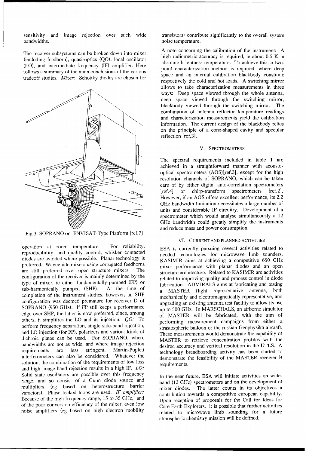sensitivity and image rejection over such wide transistors) contribute significantly to the overall system bandwidths. **noise temperature.** The second second second second second second second second second second second second second second second second second second second second second second second second second second sec

(Including recention), quasi-optics (QO), local oscillator absolute brightness temperature. To achieve this, a two-<br>(LO), and intermediate frequency (IF) amplifier. Here point characterization method is required, where dee follows a summary of the main conclusions of the various point characterization method is required, where deep<br>space and an internal calibration blackbody constitute tradeoff studies. *Mixer*: Schottky diodes are chosen for



Fig.3: SOPRANO on ENVISAT-Type Platform [ref.7]

operation at room temperature. For reliability, ESA is currently pursuing several activities related to reproducibility, and quality control, whisker contacted needed technologies for microwave limb sounders. diodes are avoided where possible. Planar technology is KASIMIR aims at achieving a competitive 650 GHz preferred. Waveguide mixers using corrugated feedhorns mixer performance with planar diodes and an open are still preferred over open structure mixers. The structure architecture. Related to KASIMIR are activities configuration of the receiver is mainly determined by the related to improving quality and process control in diode type of mixer, ie either fundamentally-pumped (FP) or fabrication. ADMIRALS aims at fabricating and testing sub-harmonically pumped (SHP). At the time of a MASTER flight representative antenna, both completion of the instrument studies, however, an SHP **mechanically and electromagnetically representative**, and configuration was deemed premature for receiver D of SOPRANO (950 GHz). If FP still keeps a performance up to 500 GHz. In MARSCHALS, an airborne simulator edge over SHP, the latter is now preferred, since, among of MASTER will be fabricated, with the aim of others, it simplifies the LO and its injection. QO: To performing measurement campaigns from either a perform frequency separation, single side-band rejection, strastospheric balloon or the russian Geophysika aircraft. and LO injection (for FP), polarizers and various kinds of These measurements would demonstrate the capability of dichroic plates can be used. For SOPRANO, where MASTER to retrieve concentration profiles with the bandwidths are not as wide, and where image rejection<br>requirements are less stringent, Martin-Puplett to technology breadboarding activity has been started to requirements are less stringent, Martin-Puplett technology breadboarding activity has been started to interferometers can also be considered. Whatever the demonstrate the feasibility of the MASTER receiver B solution, the combination of the requirements of low loss requirements. and high image band rejection results in a high IF. *LO:* Solid state oscillators are possible over this frequency In the near future, ESA will initiate activities on widerange, and so consist of a Gunn diode source and band (12 GHz) spectrometers and on the development of multipliers (eg based on heterostructure barrier mixer diodes. The latter counts in its objectives a varactors). Phase locked loops are used. *IF amplifier*: contribution towards a competitive european capability. Because of the high frequency range, 15 to 35 GHz, and Upon reception of proposals for the Call for Ideas for of the poor conversion efficiency of the mixer, even low Core Earth Explorers, it is possible that further activities

A note concerning the calibration of the instrument: A The receiver subsystems can be broken down into mixer<br>(including feedhorn), quasi-optics (QO), local oscillator<br>high radiometric accuracy is required, ie about 0.5 K in<br>high radiometric accuracy is required, ie about 0.5 K respectively the cold and hot loads. A switching mirror allows to take characterization measurements in three ways: Deep space viewed through the whole antenna, deep space viewed through the switching mirror, blackbody viewed through the switching mirror. The combination of antenna reflector temperature readings and characterization measurements yield the calibration information. The current design of the blackbody relies on the principle of a cone-shaped cavity and specular reflection [ref.3].

### V. SPECTROMETERS

The spectral requirements included in table 1 are achieved in a straightforward manner with acoustooptical spectrometers (AOS)[ref.3], except for the high resolution channels of SOPRANO, which can be taken care of by either digital auto-correlation spectrometers [ref.4] or chirp-transform spectrometers [ref.2]. However, if an AOS offers excellent performance, its 2.2 GHz bandwidth limitation necessitates a large number of units and considerable IF circuitry. Development of a spectrometer which would analyse simultaneously a 12 GHz bandwidth could greatly simplify the instruments and reduce mass and power consumption.

### VI. CURRENT **AND PLANNED ACTIVITIES**

upgrading an existing antenna test facility to allow its use

noise amplifiers (eg based on high electron mobility related to microwave limb sounding for a future atmospheric chemistry mission will be defined.